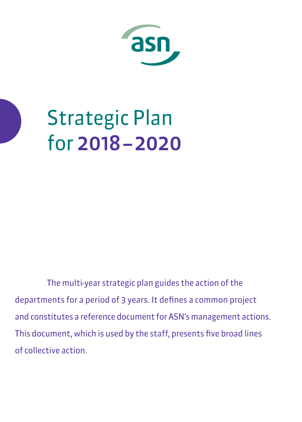

# Strategic Plan for 2018 – 2020

The multi-year strategic plan guides the action of the departments for a period of 3 years. It defines a common project and constitutes a reference document for ASN's management actions. This document, which is used by the staff, presents five broad lines of collective action.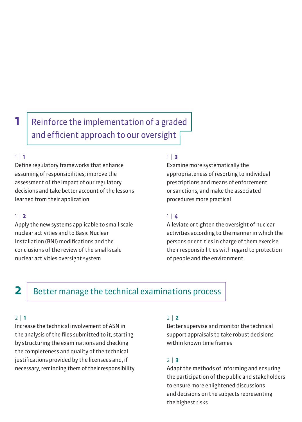# **1** Reinforce the implementation of a graded and efficient approach to our oversight

#### 1 | **1**

Define regulatory frameworks that enhance assuming of responsibilities; improve the assessment of the impact of our regulatory decisions and take better account of the lessons learned from their application

#### 1 | **2**

Apply the new systems applicable to small-scale nuclear activities and to Basic Nuclear Installation (BNI) modifications and the conclusions of the review of the small-scale nuclear activities oversight system

#### 1 | **3**

Examine more systematically the appropriateness of resorting to individual prescriptions and means of enforcement or sanctions, and make the associated procedures more practical

### 1 | **4**

Alleviate or tighten the oversight of nuclear activities according to the manner in which the persons or entities in charge of them exercise their responsibilities with regard to protection of people and the environment

## **2** Better manage the technical examinations process

#### 2 | **1**

Increase the technical involvement of ASN in the analysis of the files submitted to it, starting by structuring the examinations and checking the completeness and quality of the technical justifications provided by the licensees and, if necessary, reminding them of their responsibility

### 2 | **2**

Better supervise and monitor the technical support appraisals to take robust decisions within known time frames

### 2 | **3**

Adapt the methods of informing and ensuring the participation of the public and stakeholders to ensure more enlightened discussions and decisions on the subjects representing the highest risks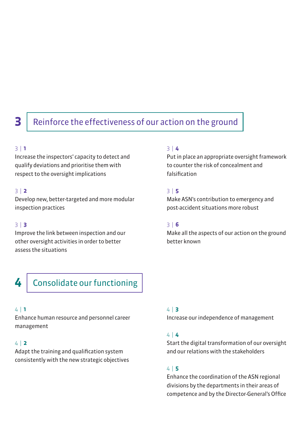# **3** Reinforce the effectiveness of our action on the ground

#### 3 | **1**

Increase the inspectors' capacity to detect and qualify deviations and prioritise them with respect to the oversight implications

#### 3 | **2**

Develop new, better-targeted and more modular inspection practices

#### 3 | **3**

Improve the link between inspection and our other oversight activities in order to better assess the situations

#### 3 | **4**

Put in place an appropriate oversight framework to counter the risk of concealment and falsification

#### 3 | **5**

Make ASN's contribution to emergency and post-accident situations more robust

#### 3 | **6**

Make all the aspects of our action on the ground better known

4 Consolidate our functioning

#### 4 | **1**

Enhance human resource and personnel career management

#### 4 | **2**

Adapt the training and qualification system consistently with the new strategic objectives

#### 4 | **3**

Increase our independence of management

#### 4 | **4**

Start the digital transformation of our oversight and our relations with the stakeholders

#### 4 | **5**

Enhance the coordination of the ASN regional divisions by the departments in their areas of competence and by the Director-General's Office